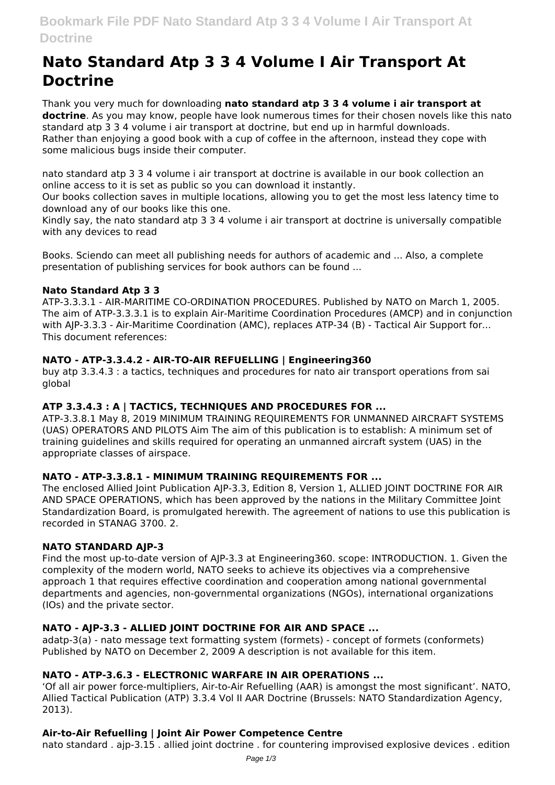# **Nato Standard Atp 3 3 4 Volume I Air Transport At Doctrine**

Thank you very much for downloading **nato standard atp 3 3 4 volume i air transport at doctrine**. As you may know, people have look numerous times for their chosen novels like this nato standard atp 3 3 4 volume i air transport at doctrine, but end up in harmful downloads. Rather than enjoying a good book with a cup of coffee in the afternoon, instead they cope with some malicious bugs inside their computer.

nato standard atp 3 3 4 volume i air transport at doctrine is available in our book collection an online access to it is set as public so you can download it instantly.

Our books collection saves in multiple locations, allowing you to get the most less latency time to download any of our books like this one.

Kindly say, the nato standard atp 3 3 4 volume i air transport at doctrine is universally compatible with any devices to read

Books. Sciendo can meet all publishing needs for authors of academic and ... Also, a complete presentation of publishing services for book authors can be found ...

# **Nato Standard Atp 3 3**

ATP-3.3.3.1 - AIR-MARITIME CO-ORDINATION PROCEDURES. Published by NATO on March 1, 2005. The aim of ATP-3.3.3.1 is to explain Air-Maritime Coordination Procedures (AMCP) and in conjunction with AJP-3.3.3 - Air-Maritime Coordination (AMC), replaces ATP-34 (B) - Tactical Air Support for... This document references:

# **NATO - ATP-3.3.4.2 - AIR-TO-AIR REFUELLING | Engineering360**

buy atp 3.3.4.3 : a tactics, techniques and procedures for nato air transport operations from sai global

# **ATP 3.3.4.3 : A | TACTICS, TECHNIQUES AND PROCEDURES FOR ...**

ATP-3.3.8.1 May 8, 2019 MINIMUM TRAINING REQUIREMENTS FOR UNMANNED AIRCRAFT SYSTEMS (UAS) OPERATORS AND PILOTS Aim The aim of this publication is to establish: A minimum set of training guidelines and skills required for operating an unmanned aircraft system (UAS) in the appropriate classes of airspace.

# **NATO - ATP-3.3.8.1 - MINIMUM TRAINING REQUIREMENTS FOR ...**

The enclosed Allied Joint Publication AJP-3.3, Edition 8, Version 1, ALLIED JOINT DOCTRINE FOR AIR AND SPACE OPERATIONS, which has been approved by the nations in the Military Committee Joint Standardization Board, is promulgated herewith. The agreement of nations to use this publication is recorded in STANAG 3700. 2.

# **NATO STANDARD AJP-3**

Find the most up-to-date version of AJP-3.3 at Engineering360. scope: INTRODUCTION. 1. Given the complexity of the modern world, NATO seeks to achieve its objectives via a comprehensive approach 1 that requires effective coordination and cooperation among national governmental departments and agencies, non-governmental organizations (NGOs), international organizations (IOs) and the private sector.

# **NATO - AJP-3.3 - ALLIED JOINT DOCTRINE FOR AIR AND SPACE ...**

adatp-3(a) - nato message text formatting system (formets) - concept of formets (conformets) Published by NATO on December 2, 2009 A description is not available for this item.

# **NATO - ATP-3.6.3 - ELECTRONIC WARFARE IN AIR OPERATIONS ...**

'Of all air power force-multipliers, Air-to-Air Refuelling (AAR) is amongst the most significant'. NATO, Allied Tactical Publication (ATP) 3.3.4 Vol II AAR Doctrine (Brussels: NATO Standardization Agency, 2013).

# **Air-to-Air Refuelling | Joint Air Power Competence Centre**

nato standard . ajp-3.15 . allied joint doctrine . for countering improvised explosive devices . edition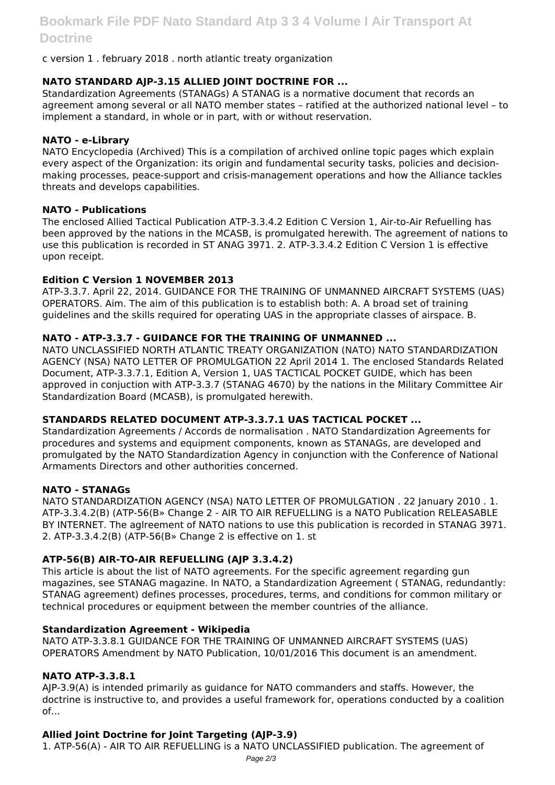# c version 1 . february 2018 . north atlantic treaty organization

# **NATO STANDARD AJP-3.15 ALLIED JOINT DOCTRINE FOR ...**

Standardization Agreements (STANAGs) A STANAG is a normative document that records an agreement among several or all NATO member states – ratified at the authorized national level – to implement a standard, in whole or in part, with or without reservation.

# **NATO - e-Library**

NATO Encyclopedia (Archived) This is a compilation of archived online topic pages which explain every aspect of the Organization: its origin and fundamental security tasks, policies and decisionmaking processes, peace-support and crisis-management operations and how the Alliance tackles threats and develops capabilities.

#### **NATO - Publications**

The enclosed Allied Tactical Publication ATP-3.3.4.2 Edition C Version 1, Air-to-Air Refuelling has been approved by the nations in the MCASB, is promulgated herewith. The agreement of nations to use this publication is recorded in ST ANAG 3971. 2. ATP-3.3.4.2 Edition C Version 1 is effective upon receipt.

# **Edition C Version 1 NOVEMBER 2013**

ATP-3.3.7. April 22, 2014. GUIDANCE FOR THE TRAINING OF UNMANNED AIRCRAFT SYSTEMS (UAS) OPERATORS. Aim. The aim of this publication is to establish both: A. A broad set of training guidelines and the skills required for operating UAS in the appropriate classes of airspace. B.

# **NATO - ATP-3.3.7 - GUIDANCE FOR THE TRAINING OF UNMANNED ...**

NATO UNCLASSIFIED NORTH ATLANTIC TREATY ORGANIZATION (NATO) NATO STANDARDIZATION AGENCY (NSA) NATO LETTER OF PROMULGATION 22 April 2014 1. The enclosed Standards Related Document, ATP-3.3.7.1, Edition A, Version 1, UAS TACTICAL POCKET GUIDE, which has been approved in conjuction with ATP-3.3.7 (STANAG 4670) by the nations in the Military Committee Air Standardization Board (MCASB), is promulgated herewith.

# **STANDARDS RELATED DOCUMENT ATP-3.3.7.1 UAS TACTICAL POCKET ...**

Standardization Agreements / Accords de normalisation . NATO Standardization Agreements for procedures and systems and equipment components, known as STANAGs, are developed and promulgated by the NATO Standardization Agency in conjunction with the Conference of National Armaments Directors and other authorities concerned.

#### **NATO - STANAGs**

NATO STANDARDIZATION AGENCY (NSA) NATO LETTER OF PROMULGATION . 22 January 2010 . 1. ATP-3.3.4.2(B) (ATP-56(B» Change 2 - AIR TO AIR REFUELLING is a NATO Publication RELEASABLE BY INTERNET. The aglreement of NATO nations to use this publication is recorded in STANAG 3971. 2. ATP-3.3.4.2(B) (ATP-56(B» Change 2 is effective on 1. st

# **ATP-56(B) AIR-TO-AIR REFUELLING (AJP 3.3.4.2)**

This article is about the list of NATO agreements. For the specific agreement regarding gun magazines, see STANAG magazine. In NATO, a Standardization Agreement ( STANAG, redundantly: STANAG agreement) defines processes, procedures, terms, and conditions for common military or technical procedures or equipment between the member countries of the alliance.

#### **Standardization Agreement - Wikipedia**

NATO ATP-3.3.8.1 GUIDANCE FOR THE TRAINING OF UNMANNED AIRCRAFT SYSTEMS (UAS) OPERATORS Amendment by NATO Publication, 10/01/2016 This document is an amendment.

# **NATO ATP-3.3.8.1**

AJP-3.9(A) is intended primarily as guidance for NATO commanders and staffs. However, the doctrine is instructive to, and provides a useful framework for, operations conducted by a coalition  $of...$ 

# **Allied Joint Doctrine for Joint Targeting (AJP-3.9)**

1. ATP-56(A) - AIR TO AIR REFUELLING is a NATO UNCLASSIFIED publication. The agreement of